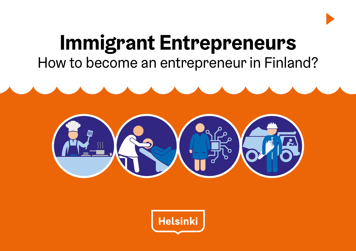

# **Immigrant Entrepreneurs** How to become an entrepreneur in Finland?



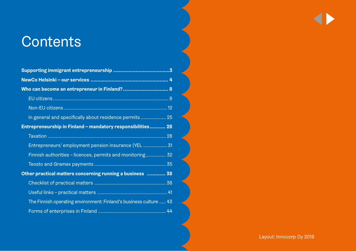## **Contents**

| In general and specifically about residence permits 25            |  |
|-------------------------------------------------------------------|--|
| Entrepreneurship in Finland - mandatory responsibilities 28       |  |
|                                                                   |  |
| Entrepreneurs' employment pension insurance (YEL  31              |  |
| Finnish authorities - licences, permits and monitoring 32         |  |
|                                                                   |  |
| Other practical matters concerning running a business  38         |  |
|                                                                   |  |
|                                                                   |  |
| The Finnish operating environment: Finland's business culture  43 |  |
|                                                                   |  |

Layout: Innocorp Oy 2018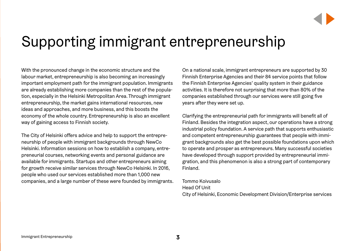

## <span id="page-2-0"></span>Supporting immigrant entrepreneurship

With the pronounced change in the economic structure and the labour market, entrepreneurship is also becoming an increasingly important employment path for the immigrant population. Immigrants are already establishing more companies than the rest of the population, especially in the Helsinki Metropolitan Area. Through immigrant entrepreneurship, the market gains international resources, new ideas and approaches, and more business, and this boosts the economy of the whole country. Entrepreneurship is also an excellent way of gaining access to Finnish society.

The City of Helsinki offers advice and help to support the entrepreneurship of people with immigrant backgrounds through NewCo Helsinki. Information sessions on how to establish a company, entrepreneurial courses, networking events and personal guidance are available for immigrants. Startups and other entrepreneurs aiming for growth receive similar services through NewCo Helsinki. In 2016, people who used our services established more than 1,000 new companies, and a large number of these were founded by immigrants. On a national scale, immigrant entrepreneurs are supported by 30 Finnish Enterprise Agencies and their 84 service points that follow the Finnish Enterprise Agencies' quality system in their guidance activities. It is therefore not surprising that more than 80% of the companies established through our services were still going five years after they were set up.

Clarifying the entrepreneurial path for immigrants will benefit all of Finland. Besides the integration aspect, our operations have a strong industrial policy foundation. A service path that supports enthusiastic and competent entrepreneurship guarantees that people with immigrant backgrounds also get the best possible foundations upon which to operate and prosper as entrepreneurs. Many successful societies have developed through support provided by entrepreneurial immigration, and this phenomenon is also a strong part of contemporary Finland.

Tommo Koivusalo Head Of Unit

City of Helsinki, Economic Development Division/Enterprise services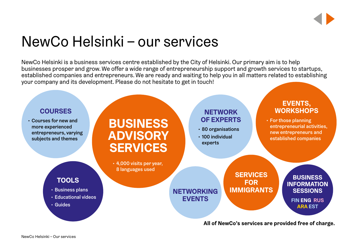## <span id="page-3-0"></span>NewCo Helsinki – our services

NewCo Helsinki is a business services centre established by the City of Helsinki. Our primary aim is to help businesses prosper and grow. We offer a wide range of entrepreneurship support and growth services to startups, established companies and entrepreneurs. We are ready and waiting to help you in all matters related to establishing your company and its development. Please do not hesitate to get in touch!

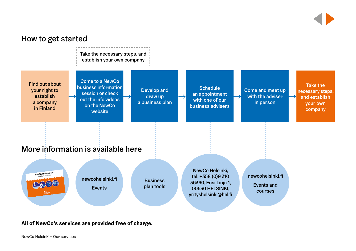

**All of NewCo's services are provided free of charge.**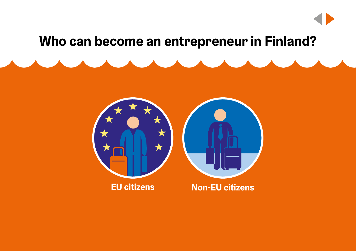## **Who can become an entrepreneur in Finland?**



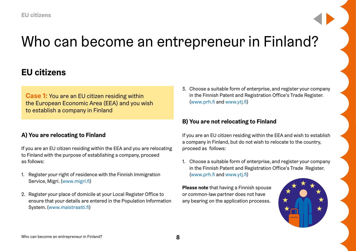## <span id="page-7-0"></span>Who can become an entrepreneur in Finland?

### **EU citizens**

**Case 1:** You are an EU citizen residing within the European Economic Area (EEA) and you wish to establish a company in Finland

### **A) You are relocating to Finland**

If you are an EU citizen residing within the EEA and you are relocating to Finland with the purpose of establishing a company, proceed as follows:

- 1. Register your right of residence with the Finnish Immigration Service, Migri. [\(www.migri.fi\)](http://www.migri.fi)
- 2. Register your place of domicile at your Local Register Office to ensure that your details are entered in the Population Information System. ([www.maistraatti.fi](http://www.maistraatti.fi))

3. Choose a suitable form of enterprise, and register your company in the Finnish Patent and Registration Office's Trade Register. [\(www.prh.fi](http://www.prh.fi) and [www.ytj.fi](http://www.ytj.fi))

### **B) You are not relocating to Finland**

If you are an EU citizen residing within the EEA and wish to establish a company in Finland, but do not wish to relocate to the country, proceed as follows:

1. Choose a suitable form of enterprise, and register your company in the Finnish Patent and Registration Office's Trade Register. [\(www.prh.fi](http://www.prh.fi) and [www.ytj.fi](http://www.ytj.fi))

**Please note** that having a Finnish spouse or common-law partner does not have any bearing on the application processs.

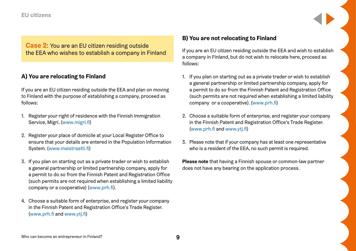### **EU citizens**

**Case 2:** You are an EU citizen residing outside the EEA who wishes to establish a company in Finland

### **A) You are relocating to Finland**

If you are an EU citizen residing outside the EEA and plan on moving to Finland with the purpose of establishing a company, proceed as follows:

- 1. Register your right of residence with the Finnish Immigration Service, Migri. [\(www.migri.fi\)](http://www.migri.fi)
- 2. Register your place of domicile at your Local Register Office to ensure that your details are entered in the Population Information System. ([www.maistraatti.fi](http://www.maistraatti.fi))
- 3. If you plan on starting out as a private trader or wish to establish a general partnership or limited partnership company, apply for a permit to do so from the Finnish Patent and Registration Office (such permits are not required when establishing a limited liability company or a cooperative) ([www.prh.fi](http://www.prh.fi)).
- 4. Choose a suitable form of enterprise, and register your company in the Finnish Patent and Registration Office's Trade Register. ([www.prh.fi](http://www.prh.fi) and [www.ytj.fi\)](http://www.ytj.fi)

### **B) You are not relocating to Finland**

If you are an EU citizen residing outside the EEA and wish to establish a company in Finland, but do not wish to relocate here, proceed as follows:

- 1. If you plan on starting out as a private trader or wish to establish a general partnership or limited partnership company, apply for a permit to do so from the Finnish Patent and Registration Office (such permits are not required when establishing a limited liability company or a cooperative). ([www.prh.fi](http://www.prh.fi))
- 2. Choose a suitable form of enterprise, and register your company in the Finnish Patent and Registration Office's Trade Register. [\(www.prh.fi](http://www.prh.fi) and [www.ytj.fi](http://www.ytj.fi))
- 3. Please note that if your company has at least one representative who is a resident of the EEA, no such permit is required.

**Please note** that having a Finnish spouse or common-law partner does not have any bearing on the application process.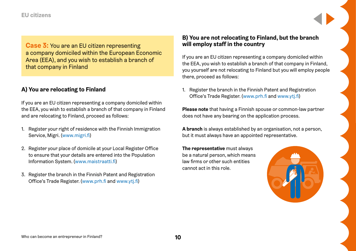### **EU citizens**

**Case 3:** You are an EU citizen representing a company domiciled within the European Economic Area (EEA), and you wish to establish a branch of that company in Finland

### **A) You are relocating to Finland**

If you are an EU citizen representing a company domiciled within the EEA, you wish to establish a branch of that company in Finland and are relocating to Finland, proceed as follows:

- 1. Register your right of residence with the Finnish Immigration Service, Migri. [\(www.migri.fi\)](http://www.migri.fi)
- 2. Register your place of domicile at your Local Register Office to ensure that your details are entered into the Population Information System. ([www.maistraatti.fi\)](http://www.maistraatti.fi)
- 3. Register the branch in the Finnish Patent and Registration Office's Trade Register. ([www.prh.fi](http://www.prh.fi) and [www.ytj.fi\)](http://www.ytj.fi)

### **B) You are not relocating to Finland, but the branch will employ staff in the country**

If you are an EU citizen representing a company domiciled within the EEA, you wish to establish a branch of that company in Finland, you yourself are not relocating to Finland but you will employ people there, proceed as follows:

1. Register the branch in the Finnish Patent and Registration Office's Trade Register. ([www.prh.fi](http://www.prh.fi) and [www.ytj.fi\)](http://www.ytj.fi)

**Please note** that having a Finnish spouse or common-law partner does not have any bearing on the application process.

**A branch** is always established by an organisation, not a person, but it must always have an appointed representative.

**The representative** must always be a natural person, which means law firms or other such entities cannot act in this role.

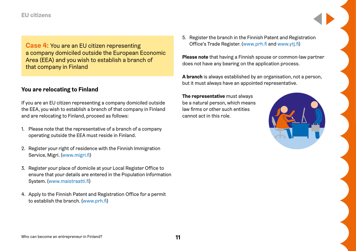### **EU citizens**

**Case 4:** You are an EU citizen representing a company domiciled outside the European Economic Area (EEA) and you wish to establish a branch of that company in Finland

### **You are relocating to Finland**

If you are an EU citizen representing a company domiciled outside the EEA, you wish to establish a branch of that company in Finland and are relocating to Finland, proceed as follows:

- 1. Please note that the representative of a branch of a company operating outside the EEA must reside in Finland.
- 2. Register your right of residence with the Finnish Immigration Service, Migri. [\(www.migri.fi\)](http://www.migri.fi)
- 3. Register your place of domicile at your Local Register Office to ensure that your details are entered in the Population Information System. ([www.maistraatti.fi](http://www.maistraatti.fi))
- 4. Apply to the Finnish Patent and Registration Office for a permit to establish the branch. ([www.prh.fi](http://www.prh.fi))

5. Register the branch in the Finnish Patent and Registration Office's Trade Register. ([www.prh.fi](http://www.prh.fi) and [www.ytj.fi\)](http://www.ytj.fi)

**Please note** that having a Finnish spouse or common-law partner does not have any bearing on the application process.

**A branch** is always established by an organisation, not a person, but it must always have an appointed representative.

**The representative** must always be a natural person, which means law firms or other such entities cannot act in this role.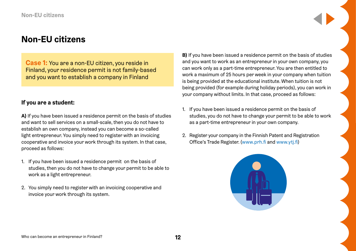<span id="page-11-0"></span>**Case 1:** You are a non-EU citizen, you reside in Finland, your residence permit is not family-based and you want to establish a company in Finland

### **If you are a student:**

**A)** If you have been issued a residence permit on the basis of studies and want to sell services on a small-scale, then you do not have to establish an own company, instead you can become a so-called light entrepreneur. You simply need to register with an invoicing cooperative and invoice your work through its system. In that case, proceed as follows:

- 1. If you have been issued a residence permit on the basis of studies, then you do not have to change your permit to be able to work as a light entrepreneur.
- 2. You simply need to register with an invoicing cooperative and invoice your work through its system.

**B)** If you have been issued a residence permit on the basis of studies and you want to work as an entrepreneur in your own company, you can work only as a part-time entrepreneur. You are then entitled to work a maximum of 25 hours per week in your company when tuition is being provided at the educational institute. When tuition is not being provided (for example during holiday periods), you can work in your company without limits. In that case, proceed as follows:

- 1. If you have been issued a residence permit on the basis of studies, you do not have to change your permit to be able to work as a part-time entrepreneur in your own company.
- 2. Register your company in the Finnish Patent and Registration Office's Trade Register. ([www.prh.fi](http://www.prh.fi) and [www.ytj.fi\)](http://www.ytj.fi)

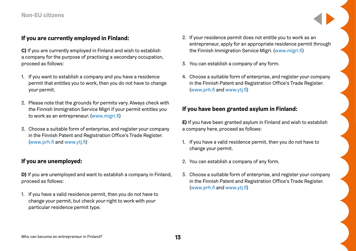### **If you are currently employed in Finland:**

**C)** If you are currently employed in Finland and wish to establish a company for the purpose of practising a secondary occupation, proceed as follows:

- 1. If you want to establish a company and you have a residence permit that entitles you to work, then you do not have to change your permit.
- 2. Please note that the grounds for permits vary. Always check with the Finnish Immigration Service Migri if your permit entitles you to work as an entrepreneur. ([www.migri.fi](http://www.migri.fi))
- 3. Choose a suitable form of enterprise, and register your company in the Finnish Patent and Registration Office's Trade Register. ([www.prh.fi](http://www.prh.fi) and [www.ytj.fi\)](http://www.ytj.fi)

### **If you are unemployed:**

**D)** If you are unemployed and want to establish a company in Finland, proceed as follows:

1. If you have a valid residence permit, then you do not have to change your permit, but check your right to work with your particular residence permit type.

- 2. If your residence permit does not entitle you to work as an entrepreneur, apply for an appropriate residence permit through the Finnish Immigration Service Migri. [\(www.migri.fi\)](http://www.migri.fi)
- 3. You can establish a company of any form.
- 4. Choose a suitable form of enterprise, and register your company in the Finnish Patent and Registration Office's Trade Register. [\(www.prh.fi](http://www.prh.fi) and [www.ytj.fi](http://www.ytj.fi))

### **If you have been granted asylum in Finland:**

**E)** If you have been granted asylum in Finland and wish to establish a company here, proceed as follows:

- 1. If you have a valid residence permit, then you do not have to change your permit.
- 2. You can establish a company of any form.
- 3. Choose a suitable form of enterprise, and register your company in the Finnish Patent and Registration Office's Trade Register. [\(www.prh.fi](http://www.prh.fi) and [www.ytj.fi](http://www.ytj.fi))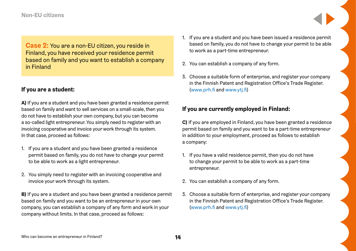**Case 2:** You are a non-EU citizen, you reside in Finland, you have received your residence permit based on family and you want to establish a company in Finland

### **If you are a student:**

**A)** If you are a student and you have been granted a residence permit based on family and want to sell services on a small-scale, then you do not have to establish your own company, but you can become a so-called light entrepreneur. You simply need to register with an invoicing cooperative and invoice your work through its system. In that case, proceed as follows:

- 1. If you are a student and you have been granted a residence permit based on family, you do not have to change your permit to be able to work as a light entrepreneur.
- 2. You simply need to register with an invoicing cooperative and invoice your work through its system.

**B)** If you are a student and you have been granted a residence permit based on family and you want to be an entrepreneur in your own company, you can establish a company of any form and work in your company without limits. In that case, proceed as follows:

- 1. If you are a student and you have been issued a residence permit based on family, you do not have to change your permit to be able to work as a part-time entrepreneur.
- 2. You can establish a company of any form.
- 3. Choose a suitable form of enterprise, and register your company in the Finnish Patent and Registration Office's Trade Register. [\(www.prh.fi](http://www.prh.fi) and [www.ytj.fi](http://www.ytj.fi))

### **If you are currently employed in Finland:**

**C)** If you are employed in Finland, you have been granted a residence permit based on family and you want to be a part-time entrepreneur in addition to your employment, proceed as follows to establish a company:

- 1. If you have a valid residence permit, then you do not have to change your permit to be able to work as a part-time entrepreneur.
- 2. You can establish a company of any form.
- 3. Choose a suitable form of enterprise, and register your company in the Finnish Patent and Registration Office's Trade Register. [\(www.prh.fi](http://www.prh.fi) and [www.ytj.fi](http://www.ytj.fi))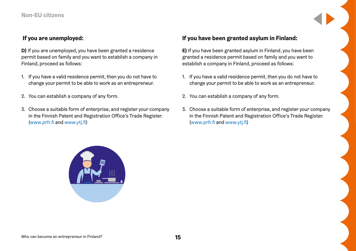### **If you are unemployed:**

**D)** If you are unemployed, you have been granted a residence permit based on family and you want to establish a company in Finland, proceed as follows:

- 1. If you have a valid residence permit, then you do not have to change your permit to be able to work as an entrepreneur.
- 2. You can establish a company of any form.
- 3. Choose a suitable form of enterprise, and register your company in the Finnish Patent and Registration Office's Trade Register. ([www.prh.fi](http://www.prh.fi) and [www.ytj.fi\)](http://www.ytj.fi)

### **If you have been granted asylum in Finland:**

**E)** If you have been granted asylum in Finland, you have been granted a residence permit based on family and you want to establish a company in Finland, proceed as follows:

- 1. If you have a valid residence permit, then you do not have to change your permit to be able to work as an entrepreneur.
- 2. You can establish a company of any form.
- 3. Choose a suitable form of enterprise, and register your company in the Finnish Patent and Registration Office's Trade Register. [\(www.prh.fi](http://www.prh.fi) and [www.ytj.fi](http://www.ytj.fi))

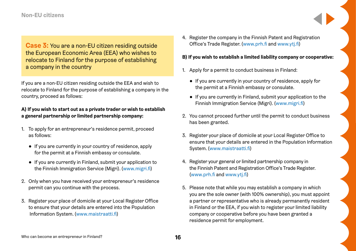**Case 3:** You are a non-EU citizen residing outside the European Economic Area (EEA) who wishes to relocate to Finland for the purpose of establishing a company in the country

If you are a non-EU citizen residing outside the EEA and wish to relocate to Finland for the purpose of establishing a company in the country, proceed as follows:

### **A) If you wish to start out as a private trader or wish to establish a general partnership or limited partnership company:**

- 1. To apply for an entrepreneur's residence permit, proceed as follows:
	- If you are currently in your country of residence, apply for the permit at a Finnish embassy or consulate.
	- If you are currently in Finland, submit your application to the Finnish Immigration Service (Migri). [\(www.migri.fi\)](http://www.migri.fi)
- 2. Only when you have received your entrepreneur's residence permit can you continue with the process.
- 3. Register your place of domicile at your Local Register Office to ensure that your details are entered into the Population Information System. ([www.maistraatti.fi](http://www.maistraatti.fi))

4. Register the company in the Finnish Patent and Registration Office's Trade Register. ([www.prh.fi](http://www.prh.fi) and [www.ytj.fi\)](http://www.ytj.fi)

#### **B) If you wish to establish a limited liability company or cooperative:**

- 1. Apply for a permit to conduct business in Finland:
	- If you are currently in your country of residence, apply for the permit at a Finnish embassy or consulate.
	- If you are currently in Finland, submit your application to the Finnish Immigration Service (Migri). ([www.migri.fi](http://www.migri.fi))
- 2. You cannot proceed further until the permit to conduct business has been granted.
- 3. Register your place of domicile at your Local Register Office to ensure that your details are entered in the Population Information System. [\(www.maistraatti.fi\)](http://www.maistraatti.fi)
- 4. Register your general or limited partnership company in the Finnish Patent and Registration Office's Trade Register. [\(www.prh.fi](http://www.prh.fi) and [www.ytj.fi](http://www.ytj.fi))
- 5. Please note that while you may establish a company in which you are the sole owner (with 100% ownership), you must appoint a partner or representative who is already permanently resident in Finland or the EEA, if you wish to register your limited liability company or cooperative before you have been granted a residence permit for employment.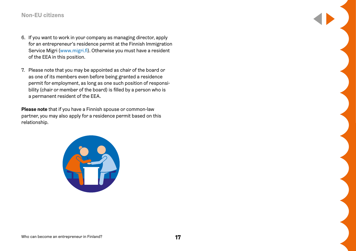- 6. If you want to work in your company as managing director, apply for an entrepreneur's residence permit at the Finnish Immigration Service Migri ([www.migri.fi](http://www.migri.fi)). Otherwise you must have a resident of the EEA in this position.
- 7. Please note that you may be appointed as chair of the board or as one of its members even before being granted a residence permit for employment, as long as one such position of responsibility (chair or member of the board) is filled by a person who is a permanent resident of the EEA.

**Please note** that if you have a Finnish spouse or common-law partner, you may also apply for a residence permit based on this relationship.

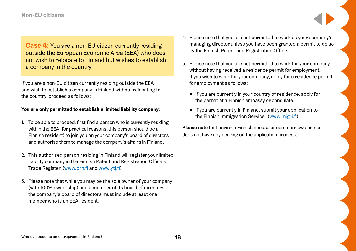**Case 4:** You are a non-EU citizen currently residing outside the European Economic Area (EEA) who does not wish to relocate to Finland but wishes to establish a company in the country

If you are a non-EU citizen currently residing outside the EEA and wish to establish a company in Finland without relocating to the country, proceed as follows:

### **You are only permitted to establish a limited liability company:**

- 1. To be able to proceed, first find a person who is currently residing within the EEA (for practical reasons, this person should be a Finnish resident) to join you on your company's board of directors and authorise them to manage the company's affairs in Finland.
- 2. This authorised person residing in Finland will register your limited liability company in the Finnish Patent and Registration Office's Trade Register. ([www.prh.fi](http://www.prh.fi) and [www.ytj.fi\)](http://www.ytj.fi)
- 3. Please note that while you may be the sole owner of your company (with 100% ownership) and a member of its board of directors, the company's board of directors must include at least one member who is an EEA resident.
- 4. Please note that you are not permitted to work as your company's managing director unless you have been granted a permit to do so by the Finnish Patent and Registration Office.
- 5. Please note that you are not permitted to work for your company without having received a residence permit for employment. If you wish to work for your company, apply for a residence permit for employment as follows:
	- If you are currently in your country of residence, apply for the permit at a Finnish embassy or consulate.
	- If you are currently in Finland, submit your application to the Finnish Immigration Service . [\(www.migri.fi\)](http://www.migri.fi)

**Please note** that having a Finnish spouse or common-law partner does not have any bearing on the application process.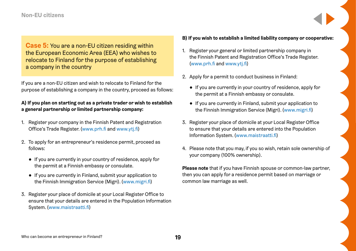**Case 5:** You are a non-EU citizen residing within the European Economic Area (EEA) who wishes to relocate to Finland for the purpose of establishing a company in the country

If you are a non-EU citizen and wish to relocate to Finland for the purpose of establishing a company in the country, proceed as follows:

### **A) If you plan on starting out as a private trader or wish to establish a general partnership or limited partnership company:**

- 1. Register your company in the Finnish Patent and Registration Office's Trade Register. ([www.prh.fi](http://www.prh.fi) and [www.ytj.fi\)](http://www.ytj.fi)
- 2. To apply for an entrepreneur's residence permit, proceed as follows:
	- If you are currently in your country of residence, apply for the permit at a Finnish embassy or consulate.
	- If you are currently in Finland, submit your application to the Finnish Immigration Service (Migri). [\(www.migri.fi\)](http://www.migri.fi)
- 3. Register your place of domicile at your Local Register Office to ensure that your details are entered in the Population Information System. ([www.maistraatti.fi](http://www.maistraatti.fi))

#### **B) If you wish to establish a limited liability company or cooperative:**

- 1. Register your general or limited partnership company in the Finnish Patent and Registration Office's Trade Register. [\(www.prh.fi](http://www.prh.fi) and [www.ytj.fi](http://www.ytj.fi))
- 2. Apply for a permit to conduct business in Finland:
	- If you are currently in your country of residence, apply for the permit at a Finnish embassy or consulate.
	- If you are currently in Finland, submit your application to the Finnish Immigration Service (Migri). [\(www.migri.fi\)](http://www.migri.fi)
- 3. Register your place of domicile at your Local Register Office to ensure that your details are entered into the Population Information System. ([www.maistraatti.fi](http://www.maistraatti.fi))
- 4. Please note that you may, if you so wish, retain sole ownership of your company (100% ownership).

**Please note** that if you have Finnish spouse or common-law partner, then you can apply for a residence permit based on marriage or common law marriage as well.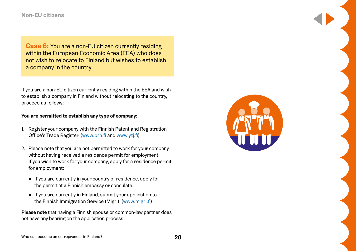**Case 6:** You are a non-EU citizen currently residing within the European Economic Area (EEA) who does not wish to relocate to Finland but wishes to establish a company in the country

If you are a non-EU citizen currently residing within the EEA and wish to establish a company in Finland without relocating to the country, proceed as follows:

### **You are permitted to establish any type of company:**

- 1. Register your company with the Finnish Patent and Registration Office's Trade Register. ([www.prh.fi](http://www.prh.fi) and [www.ytj.fi\)](http://www.ytj.fi)
- 2. Please note that you are not permitted to work for your company without having received a residence permit for employment. If you wish to work for your company, apply for a residence permit for employment:
	- If you are currently in your country of residence, apply for the permit at a Finnish embassy or consulate.
	- If you are currently in Finland, submit your application to the Finnish Immigration Service (Migri). [\(www.migri.fi\)](http://www.migri.fi)

**Please note** that having a Finnish spouse or common-law partner does not have any bearing on the application process.

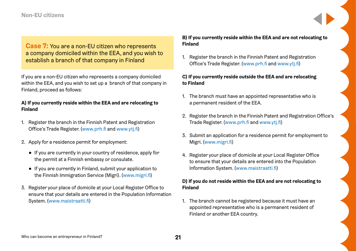**Case 7:** You are a non-EU citizen who represents a company domiciled within the EEA, and you wish to establish a branch of that company in Finland

If you are a non-EU citizen who represents a company domiciled within the EEA, and you wish to set up a branch of that company in Finland, proceed as follows:

### **A) If you currently reside within the EEA and are relocating to Finland**

- 1. Register the branch in the Finnish Patent and Registration Office's Trade Register. ([www.prh.fi](http://www.prh.fi) and [www.ytj.fi\)](http://www.ytj.fi)
- 2. Apply for a residence permit for employment:
	- If you are currently in your country of residence, apply for the permit at a Finnish embassy or consulate.
	- If you are currently in Finland, submit your application to the Finnish Immigration Service (Migri). [\(www.migri.fi\)](http://www.migri.fi)
- 3. Register your place of domicile at your Local Register Office to ensure that your details are entered in the Population Information System. ([www.maistraatti.fi](http://www.maistraatti.fi))

### **B) If you currently reside within the EEA and are not relocating to Finland**

1. Register the branch in the Finnish Patent and Registration Office's Trade Register. ([www.prh.fi](http://www.prh.fi) and [www.ytj.fi\)](http://www.ytj.fi)

### **C) If you currently reside outside the EEA and are relocating to Finland**

- 1. The branch must have an appointed representative who is a permanent resident of the EEA.
- 2. Register the branch in the Finnish Patent and Registration Office's Trade Register. [\(www.prh.fi](http://www.prh.fi) and [www.ytj.fi](http://www.ytj.fi))
- 3. Submit an application for a residence permit for employment to Migri. ([www.migri.fi](http://www.migri.fi))
- 4. Register your place of domicile at your Local Register Office to ensure that your details are entered into the Population Information System. ([www.maistraatti.fi](http://www.maistraatti.fi))

### **D) If you do not reside within the EEA and are not relocating to Finland**

1. The branch cannot be registered because it must have an appointed representative who is a permanent resident of Finland or another EEA country.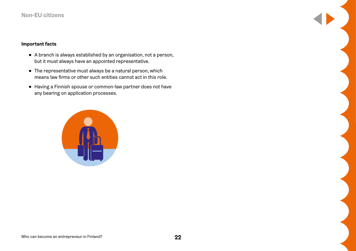### **Important facts**

- A branch is always established by an organisation, not a person, but it must always have an appointed representative.
- The representative must always be a natural person, which means law firms or other such entities cannot act in this role.
- Having a Finnish spouse or common-law partner does not have any bearing on application processes.

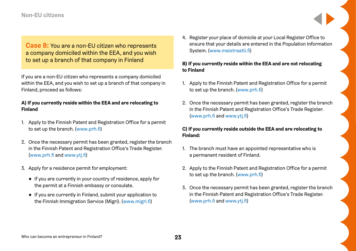**Case 8:** You are a non-EU citizen who represents a company domiciled within the EEA, and you wish to set up a branch of that company in Finland

If you are a non-EU citizen who represents a company domiciled within the EEA, and you wish to set up a branch of that company in Finland, proceed as follows:

### **A) If you currently reside within the EEA and are relocating to Finland**

- 1. Apply to the Finnish Patent and Registration Office for a permit to set up the branch. [\(www.prh.fi\)](http://www.prh.fi)
- 2. Once the necessary permit has been granted, register the branch in the Finnish Patent and Registration Office's Trade Register. ([www.prh.fi](http://www.prh.fi) and [www.ytj.fi\)](http://www.ytj.fi)
- 3. Apply for a residence permit for employment:
	- If you are currently in your country of residence, apply for the permit at a Finnish embassy or consulate.
	- If you are currently in Finland, submit your application to the Finnish Immigration Service (Migri). [\(www.migri.fi\)](http://www.migri.fi)

4. Register your place of domicile at your Local Register Office to ensure that your details are entered in the Population Information System. [\(www.maistraatti.fi\)](http://www.maistraatti.fi)

### **B) If you currently reside within the EEA and are not relocating to Finland**

- 1. Apply to the Finnish Patent and Registration Office for a permit to set up the branch. ([www.prh.fi](http://www.prh.fi))
- 2. Once the necessary permit has been granted, register the branch in the Finnish Patent and Registration Office's Trade Register. [\(www.prh.fi](http://www.prh.fi) and [www.ytj.fi](http://www.ytj.fi))

### **C) If you currently reside outside the EEA and are relocating to Finland:**

- 1. The branch must have an appointed representative who is a permanent resident of Finland.
- 2. Apply to the Finnish Patent and Registration Office for a permit to set up the branch. ([www.prh.fi](http://www.prh.fi))
- 3. Once the necessary permit has been granted, register the branch in the Finnish Patent and Registration Office's Trade Register. [\(www.prh.fi](http://www.prh.fi) and [www.ytj.fi](http://www.ytj.fi))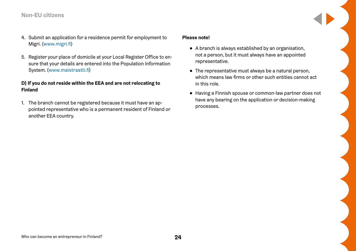- 4. Submit an application for a residence permit for employment to Migri. ([www.migri.fi](http://www.migri.fi))
- 5. Register your place of domicile at your Local Register Office to ensure that your details are entered into the Population Information System. ([www.maistraatti.fi](http://www.maistraatti.fi))

### **D) If you do not reside within the EEA and are not relocating to Finland**

1. The branch cannot be registered because it must have an appointed representative who is a permanent resident of Finland or another EEA country.

#### **Please note!**

- A branch is always established by an organisation, not a person, but it must always have an appointed representative.
- The representative must always be a natural person, which means law firms or other such entities cannot act in this role.
- Having a Finnish spouse or common-law partner does not have any bearing on the application or decision-making processes.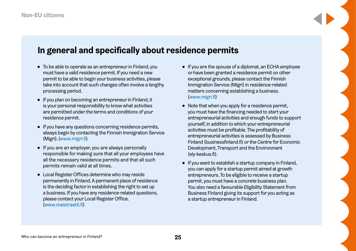### <span id="page-24-0"></span>**In general and specifically about residence permits**

- To be able to operate as an entrepreneur in Finland, you must have a valid residence permit. If you need a new permit to be able to begin your business activities, please take into account that such changes often involve a lengthy processing period.
- If you plan on becoming an entrepreneur in Finland, it is your personal responsibility to know what activities are permitted under the terms and conditions of your residence permit.
- If you have any questions concerning residence permits, always begin by contacting the Finnish Immigration Service (Migri). [\(www.migri.fi](http://www.migri.fi))
- If you are an employer, you are always personally responsible for making sure that all your employees have all the necessary residence permits and that all such permits remain valid at all times.
- Local Register Offices determine who may reside permanently in Finland. A permanent place of residence is the deciding factor in establishing the right to set up a business. If you have any residence-related questions, please contact your Local Register Office. ([www.maistraatti.fi\)](http://www.maistraatti.fi)
- If you are the spouse of a diplomat, an ECHA employee or have been granted a residence permit on other exceptional grounds, please contact the Finnish Immigration Service (Migri) in residence-related matters concerning establishing a business. [\(www.migri.fi\)](http://www.migri.fi)
- Note that when you apply for a residence permit, you must have the financing needed to start your entrepreneurial activities and enough funds to support yourself, in addition to which your entrepreneurial activities must be profitable. The profitability of entrepreneurial activities is assessed by Business Finland (businessfinland.fi) or the Centre for Economic Development, Transport and the Environment (ely-keskus.fi).
- If you want to establish a startup company in Finland, you can apply for a startup permit aimed at growth entrepreneurs. To be eligible to receive a startup permit, you must have a concrete business plan. You also need a favourable Eligibility Statement from Business Finland giving its support for you acting as a startup entrepreneur in Finland.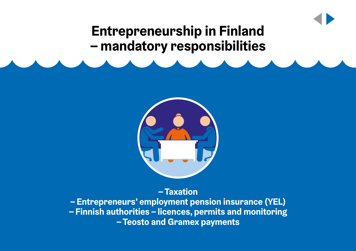## **Entrepreneurship in Finland – mandatory responsibilities**



**– Taxation**

**– Entrepreneurs' employment pension insurance (YEL) – Finnish authorities – licences, permits and monitoring – Teosto and Gramex payments**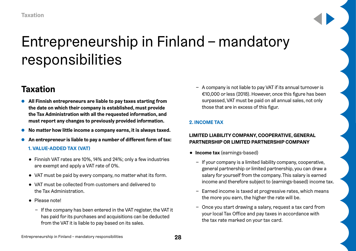## <span id="page-27-0"></span>Entrepreneurship in Finland – mandatory responsibilities

### **Taxation**

- **All Finnish entrepreneurs are liable to pay taxes starting from the date on which their company is established, must provide the Tax Administration with all the requested information, and must report any changes to previously provided information.**
- **No matter how little income a company earns, it is always taxed.**
- An entrepreneur is liable to pay a number of different form of tax:

### **1. VALUE-ADDED TAX (VAT)**

- Finnish VAT rates are 10%, 14% and 24%; only a few industries are exempt and apply a VAT rate of 0%.
- VAT must be paid by every company, no matter what its form.
- VAT must be collected from customers and delivered to the Tax Administration.
- Please note!
	- − If the company has been entered in the VAT register, the VAT it has paid for its purchases and acquisitions can be deducted from the VAT it is liable to pay based on its sales.

− A company is not liable to pay VAT if its annual turnover is €10,000 or less (2018). However, once this figure has been surpassed, VAT must be paid on all annual sales, not only those that are in excess of this figur.

### **2. INCOME TAX**

### **LIMITED LIABILITY COMPANY, COOPERATIVE, GENERAL PARTNERSHIP OR LIMITED PARTNERSHIP COMPANY**

- **Income tax** (earnings-based)
	- − If your company is a limited liability company, cooperative, general partnership or limited partnership, you can draw a salary for yourself from the company. This salary is earned income and therefore subject to (earnings-based) income tax.
	- − Earned income is taxed at progressive rates, which means the more you earn, the higher the rate will be.
	- − Once you start drawing a salary, request a tax card from your local Tax Office and pay taxes in accordance with the tax rate marked on your tax card.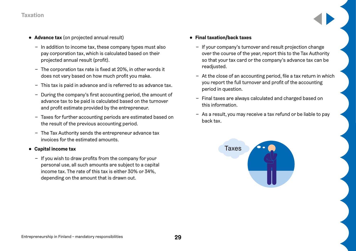### **Taxation**

- **Advance tax** (on projected annual result)
	- − In addition to income tax, these company types must also pay corporation tax, which is calculated based on their projected annual result (profit).
	- − The corporation tax rate is fixed at 20%, in other words it does not vary based on how much profit you make.
	- − This tax is paid in advance and is referred to as advance tax.
	- − During the company's first accounting period, the amount of advance tax to be paid is calculated based on the turnover and profit estimate provided by the entrepreneur.
	- − Taxes for further accounting periods are estimated based on the result of the previous accounting period.
	- − The Tax Authority sends the entrepreneur advance tax invoices for the estimated amounts.
- **Capital income tax**
	- − If you wish to draw profits from the company for your personal use, all such amounts are subject to a capital income tax. The rate of this tax is either 30% or 34%, depending on the amount that is drawn out.

### ● **Final taxation/back taxes**

- − If your company's turnover and result projection change over the course of the year, report this to the Tax Authority so that your tax card or the company's advance tax can be readiusted.
- − At the close of an accounting period, file a tax return in which you report the full turnover and profit of the accounting period in question.
- − Final taxes are always calculated and charged based on this information.
- − As a result, you may receive a tax refund or be liable to pay back tax.

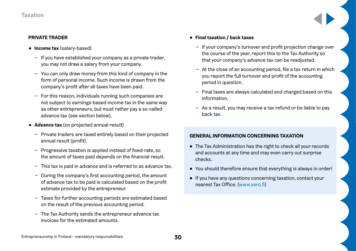#### **PRIVATE TRADER**

- **Income tax** (salary-based)
	- − If you have established your company as a private trader, you may not draw a salary from your company.
	- − You can only draw money from this kind of company in the form of personal income. Such income is drawn from the company's profit after all taxes have been paid.
	- − For this reason, individuals running such companies are not subject to earnings-based income tax in the same way as other entrepreneurs, but must rather pay a so-called advance tax (see section below).
- **Advance tax** (on projected annual result)
	- − Private traders are taxed entirely based on their projected annual result (profit).
	- − Progressive taxation is applied instead of fixed-rate, so the amount of taxes paid depends on the financial result.
	- − This tax is paid in advance and is referred to as advance tax.
	- − During the company's first accounting period, the amount of advance tax to be paid is calculated based on the profit estimate provided by the entrepreneur.
	- − Taxes for further accounting periods are estimated based on the result of the previous accounting period.
	- − The Tax Authority sends the entrepreneur advance tax invoices for the estimated amounts.

### ● **Final taxation / back taxes**

- − If your company's turnover and profit projection change over the course of the year, report this to the Tax Authority so that your company's advance tax can be readjusted.
- − At the close of an accounting period, file a tax return in which you report the full turnover and profit of the accounting period in question.
- − Final taxes are always calculated and charged based on this information.
- − As a result, you may receive a tax refund or be liable to pay back tax.

### **GENERAL INFORMATION CONCERNING TAXATION**

- The Tax Administration has the right to check all your records and accounts at any time and may even carry out surprise checks.
- You should therefore ensure that everything is always in order!
- If you have any questions concerning taxation, contact your nearest Tax Office. ([www.vero.fi\)](http://www.vero.fi)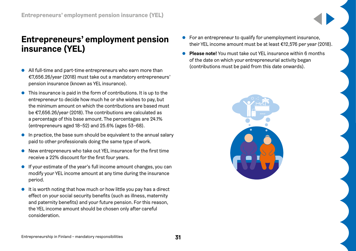### <span id="page-30-0"></span>**Entrepreneurs' employment pension insurance (YEL)**

- All full-time and part-time entrepreneurs who earn more than €7,656.26/year (2018) must take out a mandatory entrepreneurs' pension insurance (known as YEL insurance).
- This insurance is paid in the form of contributions. It is up to the entrepreneur to decide how much he or she wishes to pay, but the minimum amount on which the contributions are based must be €7,656.26/year (2018). The contributions are calculated as a percentage of this base amount. The percentages are 24.1% (entrepreneurs aged 18–52) and 25.6% (ages 53–68).
- In practice, the base sum should be equivalent to the annual salary paid to other professionals doing the same type of work.
- New entrepreneurs who take out YEL insurance for the first time receive a 22% discount for the first four years.
- If your estimate of the year's full income amount changes, you can modify your YEL income amount at any time during the insurance period.
- It is worth noting that how much or how little you pay has a direct effect on your social security benefits (such as illness, maternity and paternity benefits) and your future pension. For this reason, the YEL income amount should be chosen only after careful consideration.
- For an entrepreneur to qualify for unemployment insurance, their YEL income amount must be at least €12,576 per year (2018).
- **Please note!** You must take out YEL insurance within 6 months of the date on which your entrepreneurial activity began (contributions must be paid from this date onwards).

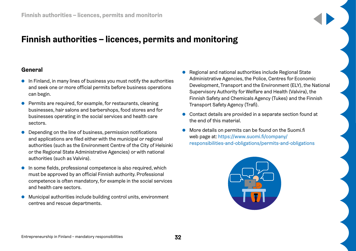### <span id="page-31-0"></span>**Finnish authorities – licences, permits and monitoring**

### **General**

- In Finland, in many lines of business you must notify the authorities and seek one or more official permits before business operations can begin.
- Permits are required, for example, for restaurants, cleaning businesses, hair salons and barbershops, food stores and for businesses operating in the social services and health care sectors.
- Depending on the line of business, permission notifications and applications are filed either with the municipal or regional authorities (such as the Environment Centre of the City of Helsinki or the Regional State Administrative Agencies) or with national authorities (such as Valvira).
- In some fields, professional competence is also required, which must be approved by an official Finnish authority. Professional competence is often mandatory, for example in the social services and health care sectors.
- Municipal authorities include building control units, environment centres and rescue departments.
- Regional and national authorities include Regional State Administrative Agencies, the Police, Centres for Economic Development, Transport and the Environment (ELY), the National Supervisory Authority for Welfare and Health (Valvira), the Finnish Safety and Chemicals Agency (Tukes) and the Finnish Transport Safety Agency (Trafi).
- Contact details are provided in a separate section found at the end of this material.
- More details on permits can be found on the Suomi.fi web page at: [https://www.suomi.fi/company/](https://www.suomi.fi/company/responsibilities-and-obligations/permits-and-obligations) [responsibilities-and-obligations/permits-and-obligations](https://www.suomi.fi/company/responsibilities-and-obligations/permits-and-obligations)

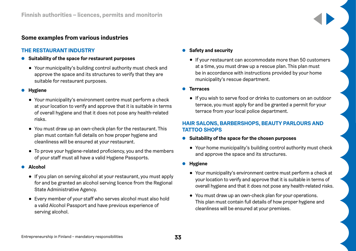### **Some examples from various industries**

### **THE RESTAURANT INDUSTRY**

- **Suitability of the space for restaurant purposes** 
	- Your municipality's building control authority must check and approve the space and its structures to verify that they are suitable for restaurant purposes.
- **Hygiene**
	- Your municipality's environment centre must perform a check at your location to verify and approve that it is suitable in terms of overall hygiene and that it does not pose any health-related risks.
	- You must draw up an own-check plan for the restaurant. This plan must contain full details on how proper hygiene and cleanliness will be ensured at your restaurant.
	- To prove your hygiene-related proficiency, you and the members of your staff must all have a valid Hygiene Passports.

### ● **Alcohol**

- If you plan on serving alcohol at your restaurant, you must apply for and be granted an alcohol serving licence from the Regional State Administrative Agency.
- Every member of your staff who serves alcohol must also hold a valid Alcohol Passport and have previous experience of serving alcohol.

### ● **Safety and security**

● If your restaurant can accommodate more than 50 customers at a time, you must draw up a rescue plan. This plan must be in accordance with instructions provided by your home municipality's rescue department.

● **Terraces**

● If you wish to serve food or drinks to customers on an outdoor terrace, you must apply for and be granted a permit for your terrace from your local police department.

### **HAIR SALONS, BARBERSHOPS, BEAUTY PARLOURS AND TATTOO SHOPS**

- **Suitability of the space for the chosen purposes**
	- Your home municipality's building control authority must check and approve the space and its structures.
- **Hygiene**
	- Your municipality's environment centre must perform a check at your location to verify and approve that it is suitable in terms of overall hygiene and that it does not pose any health-related risks.
	- You must draw up an own-check plan for your operations. This plan must contain full details of how proper hygiene and cleanliness will be ensured at your premises.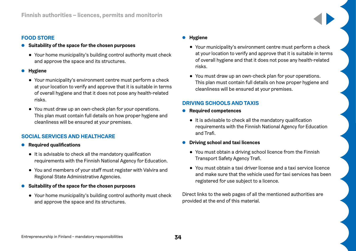### **FOOD STORE**

- **Suitability of the space for the chosen purposes**
	- Your home municipality's building control authority must check and approve the space and its structures.
- **Hygiene**
	- Your municipality's environment centre must perform a check at your location to verify and approve that it is suitable in terms of overall hygiene and that it does not pose any health-related risks.
	- You must draw up an own-check plan for your operations. This plan must contain full details on how proper hygiene and cleanliness will be ensured at your premises.

### **SOCIAL SERVICES AND HEALTHCARE**

- **Required qualifications**
	- It is advisable to check all the mandatory qualification requirements with the Finnish National Agency for Education.
	- You and members of your staff must register with Valvira and Regional State Administrative Agencies.
- **Suitability of the space for the chosen purposes**
	- Your home municipality's building control authority must check and approve the space and its structures.

### ● **Hygiene**

- Your municipality's environment centre must perform a check at your location to verify and approve that it is suitable in terms of overall hygiene and that it does not pose any health-related risks.
- You must draw up an own-check plan for your operations. This plan must contain full details on how proper hygiene and cleanliness will be ensured at your premises.

### **DRIVING SCHOOLS AND TAXIS**

- **Required competences**
	- It is advisable to check all the mandatory qualification requirements with the Finnish National Agency for Education and Trafi.
- **Driving school and taxi licences**
	- You must obtain a driving school licence from the Finnish Transport Safety Agency Trafi.
	- You must obtain a taxi driver license and a taxi service licence and make sure that the vehicle used for taxi services has been registered for use subject to a licence.

Direct links to the web pages of all the mentioned authorities are provided at the end of this material.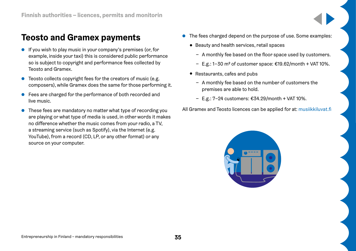### <span id="page-34-0"></span>**Teosto and Gramex payments**

- If you wish to play music in your company's premises (or, for example, inside your taxi) this is considered public performance so is subject to copyright and performance fees collected by Teosto and Gramex.
- Teosto collects copyright fees for the creators of music (e.g. composers), while Gramex does the same for those performing it.
- Fees are charged for the performance of both recorded and live music.
- These fees are mandatory no matter what type of recording you are playing or what type of media is used, in other words it makes no difference whether the music comes from your radio, a TV, a streaming service (such as Spotify), via the Internet (e.g. YouTube), from a record (CD, LP, or any other format) or any source on your computer.
- The fees charged depend on the purpose of use. Some examples:
	- Beauty and health services, retail spaces
		- − A monthly fee based on the floor space used by customers.
		- − E.g.: 1–30 m2 of customer space: €19.62/month + VAT 10%.
	- Restaurants, cafes and pubs
		- − A monthly fee based on the number of customers the premises are able to hold.
		- − E.g.: 7–24 customers: €34.29/month + VAT 10%.

All Gramex and Teosto licences can be applied for at: [musiikkiluvat.fi](http://musiikkiluvat.fi)

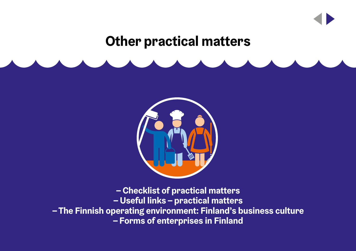## **Other practical matters**



**– Checklist of practical matters – Useful links – practical matters – The Finnish operating environment: Finland's business culture – Forms of enterprises in Finland**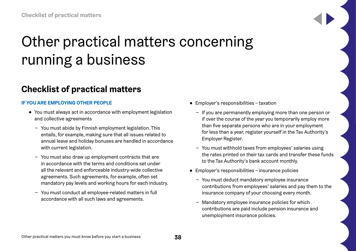# <span id="page-37-0"></span>Other practical matters concerning running a business

## **Checklist of practical matters**

### **IF YOU ARE EMPLOYING OTHER PEOPLE**

- You must always act in accordance with employment legislation and collective agreements
	- − You must abide by Finnish employment legislation. This entails, for example, making sure that all issues related to annual leave and holiday bonuses are handled in accordance with current legislation.
	- − You must also draw up employment contracts that are in accordance with the terms and conditions set under all the relevant and enforceable industry-wide collective agreements. Such agreements, for example, often set mandatory pay levels and working hours for each industry.
	- − You must conduct all employee-related matters in full accordance with all such laws and agreements.
- Employer's responsibilities taxation
	- − If you are permanently employing more than one person or if over the course of the year you temporarily employ more than five separate persons who are in your employment for less than a year, register yourself in the Tax Authority's Employer Register.
	- − You must withhold taxes from employees' salaries using the rates printed on their tax cards and transfer these funds to the Tax Authority's bank account monthly.
- Employer's responsibilities insurance policies
	- − You must deduct mandatory employee insurance contributions from employees' salaries and pay them to the insurance company of your choosing every month.
	- − Mandatory employee insurance policies for which contributions are paid include pension insurance and unemployment insurance policies.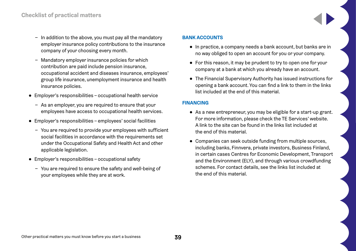- − In addition to the above, you must pay all the mandatory employer insurance policy contributions to the insurance company of your choosing every month.
- − Mandatory employer insurance policies for which contribution are paid include pension insurance, occupational accident and diseases insurance, employees' group life insurance, unemployment insurance and health insurance policies.
- Employer's responsibilities occupational health service
	- − As an employer, you are required to ensure that your employees have access to occupational health services.
- Employer's responsibilities employees' social facilities
	- − You are required to provide your employees with sufficient social facilities in accordance with the requirements set under the Occupational Safety and Health Act and other applicable legislation.
- Employer's responsibilities occupational safety
	- − You are required to ensure the safety and well-being of your employees while they are at work.

### **BANK ACCOUNTS**

- In practice, a company needs a bank account, but banks are in no way obliged to open an account for you or your company.
- For this reason, it may be prudent to try to open one for your company at a bank at which you already have an account.
- The Financial Supervisory Authority has issued instructions for opening a bank account. You can find a link to them in the links list included at the end of this material.

### **FINANCING**

- As a new entrepreneur, you may be eligible for a start-up grant. For more information, please check the TE Services' website. A link to the site can be found in the links list included at the end of this material.
- Companies can seek outside funding from multiple sources, including banks, Finnvera, private investors, Business Finland, in certain cases Centres for Economic Development, Transport and the Environment (ELY), and through various crowdfunding schemes. For contact details, see the links list included at the end of this material.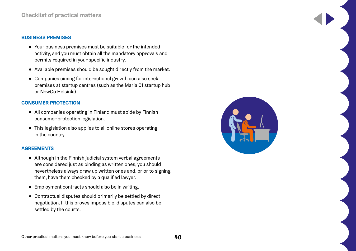#### **BUSINESS PREMISES**

- Your business premises must be suitable for the intended activity, and you must obtain all the mandatory approvals and permits required in your specific industry.
- Available premises should be sought directly from the market.
- Companies aiming for international growth can also seek premises at startup centres (such as the Maria 01 startup hub or NewCo Helsinki).

### **CONSUMER PROTECTION**

- All companies operating in Finland must abide by Finnish consumer protection legislation.
- This legislation also applies to all online stores operating in the country.

#### **AGREEMENTS**

- Although in the Finnish judicial system verbal agreements are considered just as binding as written ones, you should nevertheless always draw up written ones and, prior to signing them, have them checked by a qualified lawyer.
- Employment contracts should also be in writing.
- Contractual disputes should primarily be settled by direct negotiation. If this proves impossible, disputes can also be settled by the courts.

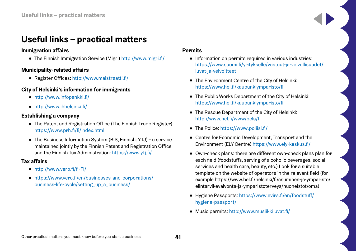### <span id="page-40-0"></span>**Useful links – practical matters**

### **Immigration affairs**

● The Finnish Immigration Service (Migri) <http://www.migri.fi/>

### **Municipality-related affairs**

● Register Offices: <http://www.maistraatti.fi/>

### **City of Helsinki's information for immigrants**

- <http://www.infopankki.fi/>
- http://www.ihhelsinki.fi/

### **Establishing a company**

- The Patent and Registration Office (The Finnish Trade Register): <https://www.prh.fi/fi/index.html>
- The Business Information System (BIS, Finnish: YTJ) a service maintained jointly by the Finnish Patent and Registration Office and the Finnish Tax Administration:<https://www.ytj.fi/>

### **Tax affairs**

- <http://www.vero.fi/fi-FI/>
- [https://www.vero.fi/en/businesses-and-corporations/](https://www.vero.fi/en/businesses-and-corporations/business-life-cycle/setting_up_a_business/) [business-life-cycle/setting\\_up\\_a\\_business/](https://www.vero.fi/en/businesses-and-corporations/business-life-cycle/setting_up_a_business/)

### **Permits**

- Information on permits required in various industries: [https://www.suomi.fi/yritykselle/vastuut-ja-velvollisuudet/](https://www.suomi.fi/yritykselle/vastuut-ja-velvollisuudet/luvat-ja-velvoitteet) [luvat-ja-velvoitteet](https://www.suomi.fi/yritykselle/vastuut-ja-velvollisuudet/luvat-ja-velvoitteet)
- The Environment Centre of the City of Helsinki: <https://www.hel.fi/kaupunkiymparisto/fi>
- The Public Works Department of the City of Helsinki: <https://www.hel.fi/kaupunkiymparisto/fi>
- The Rescue Department of the City of Helsinki: <http://www.hel.fi/www/pela/fi>
- The Police: <https://www.poliisi.fi/>
- Centre for Economic Development, Transport and the Environment (ELY Centre) <https://www.ely-keskus.fi/>
- Own-check plans: there are different own-check plans plan for each field (foodstuffs, serving of alcoholic beverages, social services and health care, beauty, etc.) Look for a suitable template on the website of operators in the relevant field (for example https://www.hel.fi/helsinki/fi/asuminen-ja-ymparisto/ elintarvikevalvonta-ja-ymparistoterveys/huoneistot/oma)
- Hygiene Passports: [https://www.evira.fi/en/foodstuff/](https://www.evira.fi/en/foodstuff/hygiene-passport/) [hygiene-passport/](https://www.evira.fi/en/foodstuff/hygiene-passport/)
- Music permits:<http://www.musiikkiluvat.fi/>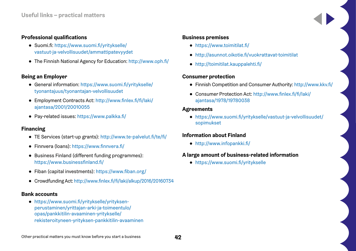### **Professional qualifications**

- Suomi.fi: [https://www.suomi.fi/yritykselle/](https://www.suomi.fi/yritykselle/vastuut-ja-velvollisuudet/ammattipatevyydet) [vastuut-ja-velvollisuudet/ammattipatevyydet](https://www.suomi.fi/yritykselle/vastuut-ja-velvollisuudet/ammattipatevyydet)
- The Finnish National Agency for Education:<http://www.oph.fi/>

### **Being an Employer**

- General information: [https://www.suomi.fi/yritykselle/](https://www.suomi.fi/yritykselle/tyonantajuus/tyonantajan-velvollisuudet) [tyonantajuus/tyonantajan-velvollisuudet](https://www.suomi.fi/yritykselle/tyonantajuus/tyonantajan-velvollisuudet)
- Employment Contracts Act: [http://www.finlex.fi/fi/laki/](http://www.finlex.fi/fi/laki/ajantasa/2001/20010055) [ajantasa/2001/20010055](http://www.finlex.fi/fi/laki/ajantasa/2001/20010055)
- Pay-related issues: <https://www.palkka.fi/>

### **Financing**

- TE Services (start-up grants): <http://www.te-palvelut.fi/te/fi/>
- Finnvera (loans):<https://www.finnvera.fi/>
- Business Finland (different funding programmes): <https://www.businessfinland.fi/>
- Fiban (capital investments): <https://www.fiban.org/>
- Crowdfunding Act:<http://www.finlex.fi/fi/laki/alkup/2016/20160734>

### **Bank accounts**

● https://www.suomi.fi/yritykselle/yrityksenperustaminen/yrittajan-arki-ja-toimeentulo/ opas/pankkitilin-avaaminen-yritykselle/ rekisteroityneen-yrityksen-pankkitilin-avaaminen

### **Business premises**

- <https://www.toimitilat.fi/>
- <http://asunnot.oikotie.fi/vuokrattavat-toimitilat>
- <http://toimitilat.kauppalehti.fi/>

### **Consumer protection**

- Finnish Competition and Consumer Authority: <http://www.kkv.fi/>
- Consumer Protection Act: [http://www.finlex.fi/fi/laki/](http://www.finlex.fi/fi/laki/ajantasa/1978/19780038) [ajantasa/1978/19780038](http://www.finlex.fi/fi/laki/ajantasa/1978/19780038)

### **Agreements**

● https://www.suomi.fi/yritykselle/vastuut-ja-velvollisuudet/ sopimukset

### **Information about Finland**

● <http://www.infopankki.fi/>

### **A large amount of business-related information**

● https://www.suomi.fi/yritykselle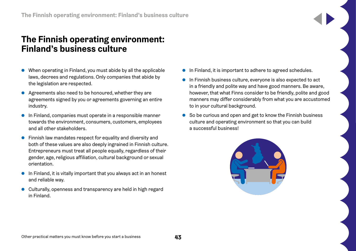### <span id="page-42-0"></span>**The Finnish operating environment: Finland's business culture**

- When operating in Finland, you must abide by all the applicable laws, decrees and regulations. Only companies that abide by the legislation are respected.
- Agreements also need to be honoured, whether they are agreements signed by you or agreements governing an entire industry.
- In Finland, companies must operate in a responsible manner towards the environment, consumers, customers, employees and all other stakeholders.
- Finnish law mandates respect for equality and diversity and both of these values are also deeply ingrained in Finnish culture. Entrepreneurs must treat all people equally, regardless of their gender, age, religious affiliation, cultural background or sexual orientation.
- In Finland, it is vitally important that you always act in an honest and reliable way.
- Culturally, openness and transparency are held in high regard in Finland.
- In Finland, it is important to adhere to agreed schedules.
- In Finnish business culture, everyone is also expected to act in a friendly and polite way and have good manners. Be aware, however, that what Finns consider to be friendly, polite and good manners may differ considerably from what you are accustomed to in your cultural background.
- So be curious and open and get to know the Finnish business culture and operating environment so that you can build a successful business!

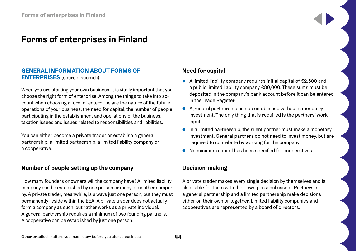### <span id="page-43-0"></span>**Forms of enterprises in Finland**

### **GENERAL INFORMATION ABOUT FORMS OF ENTERPRISES** (source: suomi.fi)

When you are starting your own business, it is vitally important that you choose the right form of enterprise. Among the things to take into account when choosing a form of enterprise are the nature of the future operations of your business, the need for capital, the number of people participating in the establishment and operations of the business, taxation issues and issues related to responsibilities and liabilities.

You can either become a private trader or establish a general partnership, a limited partnership, a limited liability company or a cooperative.

### **Number of people setting up the company**

How many founders or owners will the company have? A limited liability company can be established by one person or many or another company. A private trader, meanwhile, is always just one person, but they must permanently reside within the EEA. A private trader does not actually form a company as such, but rather works as a private individual. A general partnership requires a minimum of two founding partners. A cooperative can be established by just one person.

### **Need for capital**

- $\bullet$  A limited liability company requires initial capital of €2,500 and a public limited liability company €80,000. These sums must be deposited in the company's bank account before it can be entered in the Trade Register.
- A general partnership can be established without a monetary investment. The only thing that is required is the partners' work input.
- In a limited partnership, the silent partner must make a monetary investment. General partners do not need to invest money, but are required to contribute by working for the company.
- No minimum capital has been specified for cooperatives.

### **Decision-making**

A private trader makes every single decision by themselves and is also liable for them with their own personal assets. Partners in a general partnership and a limited partnership make decisions either on their own or together. Limited liability companies and cooperatives are represented by a board of directors.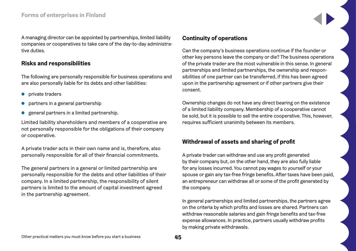A managing director can be appointed by partnerships, limited liability companies or cooperatives to take care of the day-to-day administrative duties.

### **Risks and responsibilities**

The following are personally responsible for business operations and are also personally liable for its debts and other liabilities:

- private traders
- partners in a general partnership
- general partners in a limited partnership.

Limited liability shareholders and members of a cooperative are not personally responsible for the obligations of their company or cooperative.

A private trader acts in their own name and is, therefore, also personally responsible for all of their financial commitments.

The general partners in a general or limited partnership are personally responsible for the debts and other liabilities of their company. In a limited partnership, the responsibility of silent partners is limited to the amount of capital investment agreed in the partnership agreement.

### **Continuity of operations**

Can the company's business operations continue if the founder or other key persons leave the company or die? The business operations of the private trader are the most vulnerable in this sense. In general partnerships and limited partnerships, the ownership and responsibilities of one partner can be transferred, if this has been agreed upon in the partnership agreement or if other partners give their consent.

Ownership changes do not have any direct bearing on the existence of a limited liability company. Membership of a cooperative cannot be sold, but it is possible to sell the entire cooperative. This, however, requires sufficient unanimity between its members.

### **Withdrawal of assets and sharing of profit**

A private trader can withdraw and use any profit generated by their company but, on the other hand, they are also fully liable for any losses incurred. You cannot pay wages to yourself or your spouse or gain any tax-free fringe benefits. After taxes have been paid, an entrepreneur can withdraw all or some of the profit generated by the company.

In general partnerships and limited partnerships, the partners agree on the criteria by which profits and losses are shared. Partners can withdraw reasonable salaries and gain fringe benefits and tax-free expense allowances. In practice, partners usually withdraw profits by making private withdrawals.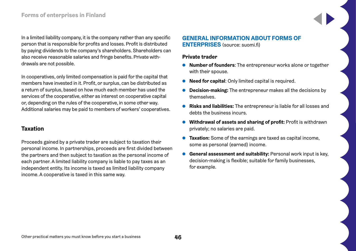In a limited liability company, it is the company rather than any specific person that is responsible for profits and losses. Profit is distributed by paying dividends to the company's shareholders. Shareholders can also receive reasonable salaries and fringe benefits. Private withdrawals are not possible.

In cooperatives, only limited compensation is paid for the capital that members have invested in it. Profit, or surplus, can be distributed as a return of surplus, based on how much each member has used the services of the cooperative, either as interest on cooperative capital or, depending on the rules of the cooperative, in some other way. Additional salaries may be paid to members of workers' cooperatives.

### **Taxation**

Proceeds gained by a private trader are subject to taxation their personal income. In partnerships, proceeds are first divided between the partners and then subject to taxation as the personal income of each partner. A limited liability company is liable to pay taxes as an independent entity. Its income is taxed as limited liability company income. A cooperative is taxed in this same way.

### **GENERAL INFORMATION ABOUT FORMS OF ENTERPRISES** (source: suomi.fi)

### **Private trader**

- **Number of founders**: The entrepreneur works alone or together with their spouse.
- **Need for capital**: Only limited capital is required.
- **Decision-making:** The entrepreneur makes all the decisions by themselves.
- **Risks and liabilities:** The entrepreneur is liable for all losses and debts the business incurs.
- **Withdrawal of assets and sharing of profit:** Profit is withdrawn privately; no salaries are paid.
- **Taxation:** Some of the earnings are taxed as capital income, some as personal (earned) income.
- **General assessment and suitability:** Personal work input is key, decision-making is flexible; suitable for family businesses, for example.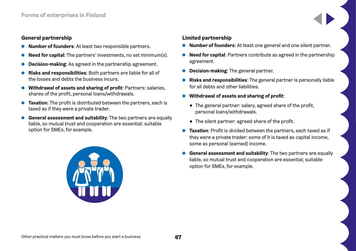### **General partnership**

- **Number of founders**: At least two responsible partners.
- **Need for capital:** The partners' investments, no set minimum(s).
- **Decision-making:** As agreed in the partnership agreement.
- **Risks and responsibilities:** Both partners are liable for all of the losses and debts the business incurs.
- **Withdrawal of assets and sharing of profit**: Partners: salaries, shares of the profit, personal loans/withdrawals.
- **Taxation**: The profit is distributed between the partners, each is taxed as if they were a private trader.
- **General assessment and suitability:** The two partners are equally liable, so mutual trust and cooperation are essential; suitable option for SMEs, for example.



### **Limited partnership**

- **Number of founders**: At least one general and one silent partner.
- **Need for capital:** Partners contribute as agreed in the partnership agreement.
- **Decision-making:** The general partner.
- **Risks and responsibilities**: The general partner is personally liable for all debts and other liabilities.
- **Withdrawal of assets and sharing of profit**:
	- The general partner: salary, agreed share of the profit, personal loans/withdrawals.
	- The silent partner: agreed share of the profit.
- **Taxation:** Profit is divided between the partners, each taxed as if they were a private trader: some of it is taxed as capital income, some as personal (earned) income.
- **General assessment and suitability**: The two partners are equally liable, so mutual trust and cooperation are essential; suitable option for SMEs, for example.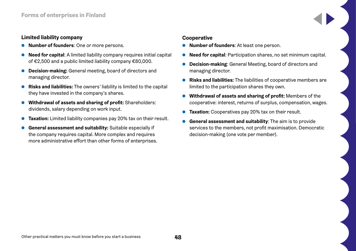### **Limited liability company**

- **Number of founders:** One or more persons.
- **Need for capital:** A limited liability company requires initial capital of €2,500 and a public limited liability company €80,000.
- **Decision-making:** General meeting, board of directors and managing director.
- **Risks and liabilities:** The owners' liability is limited to the capital they have invested in the company's shares.
- **Withdrawal of assets and sharing of profit:** Shareholders: dividends, salary depending on work input.
- **Taxation:** Limited liability companies pay 20% tax on their result.
- **General assessment and suitability:** Suitable especially if the company requires capital. More complex and requires more administrative effort than other forms of enterprises.

### **Cooperative**

- **Number of founders**: At least one person.
- **Need for capital:** Participation shares, no set minimum capital.
- **Decision-making:** General Meeting, board of directors and managing director.
- **Risks and liabilities:** The liabilities of cooperative members are limited to the participation shares they own.
- **Withdrawal of assets and sharing of profit:** Members of the cooperative: interest, returns of surplus, compensation, wages.
- **Taxation:** Cooperatives pay 20% tax on their result.
- **General assessment and suitability:** The aim is to provide services to the members, not profit maximisation. Democratic decision-making (one vote per member).